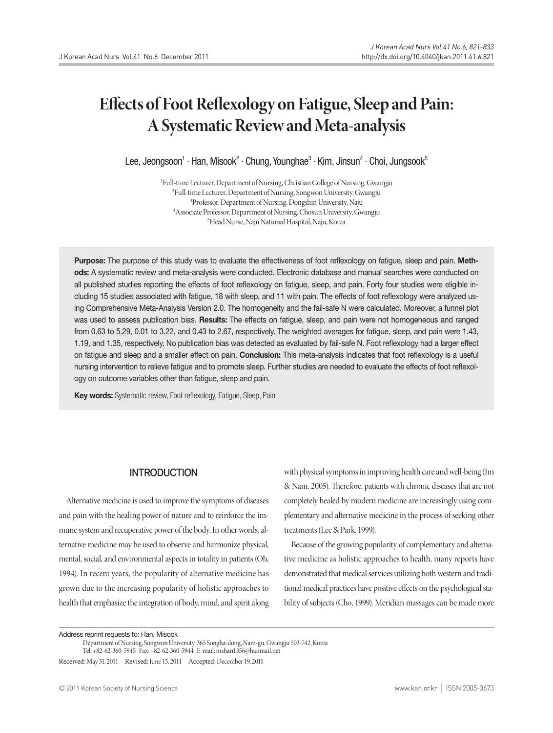# **Effects of Foot Reflexology on Fatigue, Sleep and Pain: A Systematic Review and Meta-analysis**

Lee, Jeongsoon<sup>1</sup> · Han, Misook<sup>2</sup> · Chung, Younghae<sup>3</sup> · Kim, Jinsun<sup>4</sup> · Choi, Jungsook<sup>5</sup>

<sup>1</sup>Full-time Lecturer, Department of Nursing, Christian College of Nursing, Gwangju <sup>2</sup>Full-time Lecturer, Department of Nursing, Songwon University, Gwangju <sup>3</sup>Professor, Department of Nursing, Dongshin University, Naju <sup>4</sup> Associate Professor, Department of Nursing, Chosun University, Gwangju <sup>5</sup>Head Nurse, Naju National Hospital, Naju, Korea

Purpose: The purpose of this study was to evaluate the effectiveness of foot reflexology on fatigue, sleep and pain. Methods: A systematic review and meta-analysis were conducted. Electronic database and manual searches were conducted on all published studies reporting the effects of foot reflexology on fatigue, sleep, and pain. Forty four studies were eligible including 15 studies associated with fatigue, 18 with sleep, and 11 with pain. The effects of foot reflexology were analyzed using Comprehensive Meta-Analysis Version 2.0. The homogeneity and the fail-safe N were calculated. Moreover, a funnel plot was used to assess publication bias. Results: The effects on fatigue, sleep, and pain were not homogeneous and ranged from 0.63 to 5.29, 0.01 to 3.22, and 0.43 to 2.67, respectively. The weighted averages for fatigue, sleep, and pain were 1.43, 1.19, and 1.35, respectively. No publication bias was detected as evaluated by fail-safe N. Foot reflexology had a larger effect on fatigue and sleep and a smaller effect on pain. Conclusion: This meta-analysis indicates that foot reflexology is a useful nursing intervention to relieve fatigue and to promote sleep. Further studies are needed to evaluate the effects of foot reflexology on outcome variables other than fatigue, sleep and pain.

Key words: Systematic review, Foot reflexology, Fatigue, Sleep, Pain

# **INTRODUCTION**

Alternative medicine is used to improve the symptoms of diseases and pain with the healing power of nature and to reinforce the immune system and recuperative power of the body. In other words, alternative medicine may be used to observe and harmonize physical, mental, social, and environmental aspects in totality in patients (Oh, 1994). In recent years, the popularity of alternative medicine has grown due to the increasing popularity of holistic approaches to health that emphasize the integration of body, mind, and spirit along with physical symptoms in improving health care and well-being (Im & Nam, 2005). Therefore, patients with chronic diseases that are not completely healed by modern medicine are increasingly using complementary and alternative medicine in the process of seeking other treatments(Lee&Park, 1999).

Because of the growing popularity of complementary and alternative medicine as holistic approaches to health, many reports have demonstrated that medical services utilizing both western and traditional medical practices have positive effects on the psychological stability of subjects (Cho, 1999). Meridian massages can be made more

Address reprint requests to: Han, Misook

Tel: +82-62-360-5945 Fax: +82-62-360-5944 E-mail:mshan1356@hanmail.net

Received: May 31, 2011 Revised: June 15, 2011 Accepted: December 19, 2011

Department ofNursing, SongwonUniversity, 365 Songha-dong,Nam-gu,Gwangju 503-742,Korea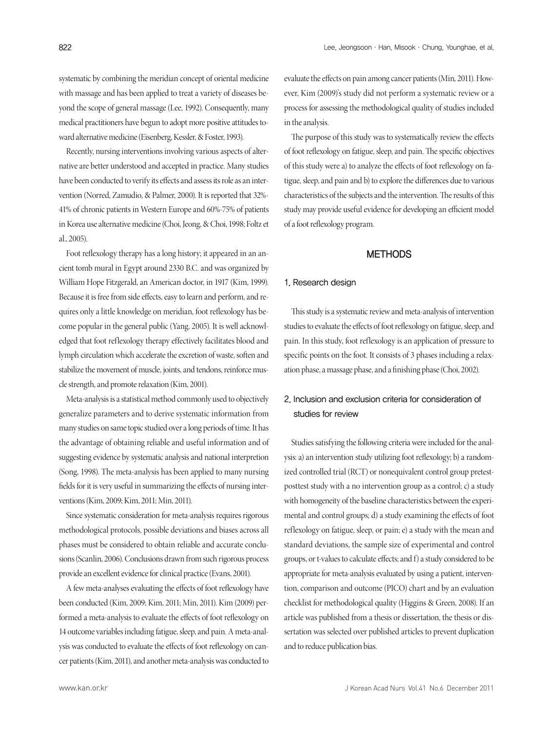systematic by combining the meridian concept of oriental medicine with massage and has been applied to treat a variety of diseases beyond the scope of general massage (Lee, 1992). Consequently, many medical practitioners have begun to adopt more positive attitudes toward alternative medicine (Eisenberg, Kessler, & Foster, 1993).

Recently, nursing interventions involving various aspects of alternative are better understood and accepted in practice. Many studies have been conducted to verify its effects and assess its role as an intervention (Norred, Zamudio, & Palmer, 2000). It is reported that 32%- 41% of chronic patients in Western Europe and 60%-75% of patients in Korea use alternative medicine (Choi, Jeong, & Choi, 1998; Foltz et al., 2005).

Foot reflexology therapy has a long history; it appeared in an ancient tomb mural in Egypt around 2330 B.C. and was organized by William Hope Fitzgerald, an American doctor, in 1917 (Kim, 1999). Because it is free from side effects, easy to learn and perform, and requires only a little knowledge on meridian, foot reflexology has become popular in the general public (Yang, 2005). It is well acknowledged that foot reflexology therapy effectively facilitates blood and lymph circulation which accelerate the excretion of waste, soften and stabilize the movement of muscle, joints, and tendons, reinforce muscle strength, and promote relaxation (Kim, 2001).

Meta-analysis is a statistical method commonly used to objectively generalize parameters and to derive systematic information from many studies on same topic studied over a long periods of time. It has the advantage of obtaining reliable and useful information and of suggesting evidence by systematic analysis and national interpretion (Song, 1998). The meta-analysis has been applied to many nursing fields for it is very useful in summarizing the effects of nursing interventions (Kim, 2009; Kim, 2011; Min, 2011).

Since systematic consideration for meta-analysis requires rigorous methodological protocols, possible deviations and biases across all phases must be considered to obtain reliable and accurate conclusions (Scanlin, 2006). Conclusions drawn from such rigorous process provide an excellent evidence for clinical practice (Evans, 2001).

A few meta-analyses evaluating the effects of foot reflexology have been conducted (Kim, 2009; Kim, 2011; Min, 2011). Kim (2009) performed a meta-analysis to evaluate the effects of foot reflexology on 14 outcome variables including fatigue, sleep, and pain. A meta-analysis was conducted to evaluate the effects of foot reflexology on cancer patients (Kim, 2011), and another meta-analysis was conducted to

evaluate the effects on pain among cancer patients (Min, 2011). However, Kim (2009)'s study did not perform a systematic review or a process for assessing the methodological quality of studies included in the analysis.

The purpose of this study was to systematically review the effects of foot reflexology on fatigue, sleep, and pain. The specific objectives of this study were a) to analyze the effects of foot reflexology on fatigue, sleep, and pain and b) to explore the differences due to various characteristics of the subjects and the intervention. The results of this study may provide useful evidence for developing an efficient model of a foot reflexology program.

# **METHODS**

#### 1. Research design

This study is a systematic review and meta-analysis of intervention studies to evaluate the effects of foot reflexology on fatigue, sleep, and pain. In this study, foot reflexology is an application of pressure to specific points on the foot. It consists of 3 phases including a relaxation phase, a massage phase, and a finishing phase (Choi, 2002).

# 2. Inclusion and exclusion criteria for consideration of studies for review

Studies satisfying the following criteria were included for the analysis: a) an intervention study utilizing foot reflexology; b) a randomized controlled trial (RCT) or nonequivalent control group pretestposttest study with a no intervention group as a control; c) a study with homogeneity of the baseline characteristics between the experimental and control groups; d) a study examining the effects of foot reflexology on fatigue, sleep, or pain; e) a study with the mean and standard deviations, the sample size of experimental and control groups, or t-values to calculate effects; and f) a study considered to be appropriate for meta-analysis evaluated by using a patient, intervention, comparison and outcome (PICO) chart and by an evaluation checklist for methodological quality (Higgins & Green, 2008). If an article was published from a thesis or dissertation, the thesis or dissertation was selected over published articles to prevent duplication and to reduce publication bias.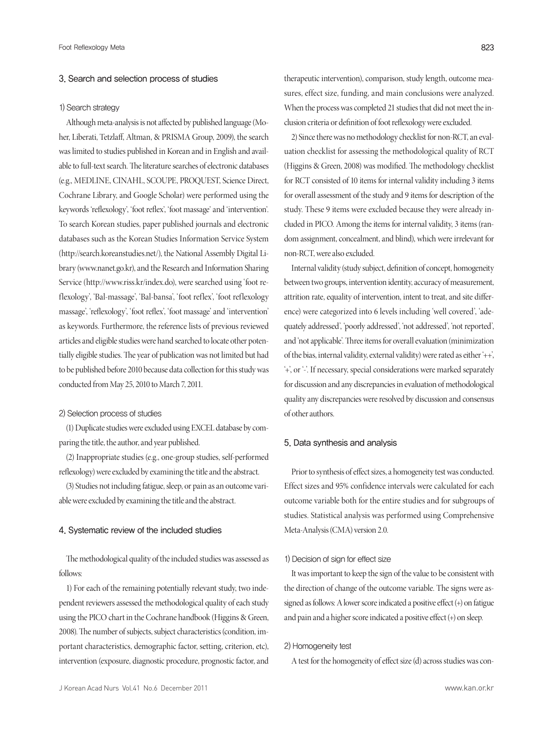#### 3. Search and selection process of studies

#### 1) Search strategy

Although meta-analysis is not affected by published language (Moher, Liberati, Tetzlaff, Altman, & PRISMA Group, 2009), the search was limited to studies published in Korean and in English and available to full-text search. The literature searches of electronic databases (e.g., MEDLINE, CINAHL, SCOUPE, PROQUEST, Science Direct, Cochrane Library, and Google Scholar) were performed using the keywords 'reflexology', 'foot reflex', 'foot massage' and 'intervention'. To search Korean studies, paper published journals and electronic databases such as the Korean Studies Information Service System (http://search.koreanstudies.net/), the National Assembly Digital Library (www.nanet.go.kr), and the Research and Information Sharing Service (http://www.riss.kr/index.do), were searched using 'foot reflexology', 'Bal-massage', 'Bal-bansa', 'foot reflex', 'foot reflexology massage', 'reflexology', 'foot reflex', 'foot massage' and 'intervention' as keywords. Furthermore, the reference lists of previous reviewed articles and eligible studies were hand searched to locate other potentially eligible studies. The year of publication was not limited but had to be published before 2010 because data collection for this study was conducted from May 25, 2010 to March 7, 2011.

## 2) Selection process of studies

(1) Duplicate studies were excluded using EXCEL database by comparing the title, the author, and year published.

(2) Inappropriate studies (e.g., one-group studies, self-performed reflexology) were excluded by examining the title and the abstract.

(3) Studies not including fatigue, sleep, or pain as an outcome variable were excluded by examining the title and the abstract.

## 4. Systematic review of the included studies

The methodological quality of the included studies was assessed as follows:

1) For each of the remaining potentially relevant study, two independent reviewers assessed the methodological quality of each study using the PICO chart in the Cochrane handbook (Higgins & Green, 2008). The number of subjects, subject characteristics (condition, important characteristics, demographic factor, setting, criterion, etc), intervention (exposure, diagnostic procedure, prognostic factor, and

therapeutic intervention), comparison, study length, outcome measures, effect size, funding, and main conclusions were analyzed. When the process was completed 21 studies that did not meet the inclusion criteria or definition of foot reflexology were excluded.

2) Since there was no methodology checklist for non-RCT, an evaluation checklist for assessing the methodological quality of RCT (Higgins & Green, 2008) was modified. The methodology checklist for RCT consisted of 10 items for internal validity including 3 items for overall assessment of the study and 9 items for description of the study. These 9 items were excluded because they were already included in PICO. Among the items for internal validity, 3 items (random assignment, concealment, and blind), which were irrelevant for non-RCT, were also excluded.

Internal validity (study subject, definition of concept, homogeneity between two groups, intervention identity, accuracy of measurement, attrition rate, equality of intervention, intent to treat, and site difference) were categorized into 6 levels including 'well covered', 'adequately addressed', 'poorly addressed', 'not addressed', 'not reported', and 'not applicable'. Three items for overall evaluation (minimization of the bias, internal validity, external validity) were rated as either '++', '+', or '-'. If necessary, special considerations were marked separately for discussion and any discrepancies in evaluation of methodological quality any discrepancies were resolved by discussion and consensus of other authors.

#### 5. Data synthesis and analysis

Prior to synthesis of effect sizes, a homogeneity test was conducted. Effect sizes and 95% confidence intervals were calculated for each outcome variable both for the entire studies and for subgroups of studies. Statistical analysis was performed using Comprehensive Meta-Analysis(CMA) version 2.0.

#### 1) Decision of sign for effect size

It was important to keep the sign of the value to be consistent with the direction of change of the outcome variable. The signs were assigned as follows: A lower score indicated a positive effect (+) on fatigue and pain and a higher score indicated a positive effect  $(+)$  on sleep.

## 2) Homogeneity test

A test for the homogeneity of effect size (d) across studies was con-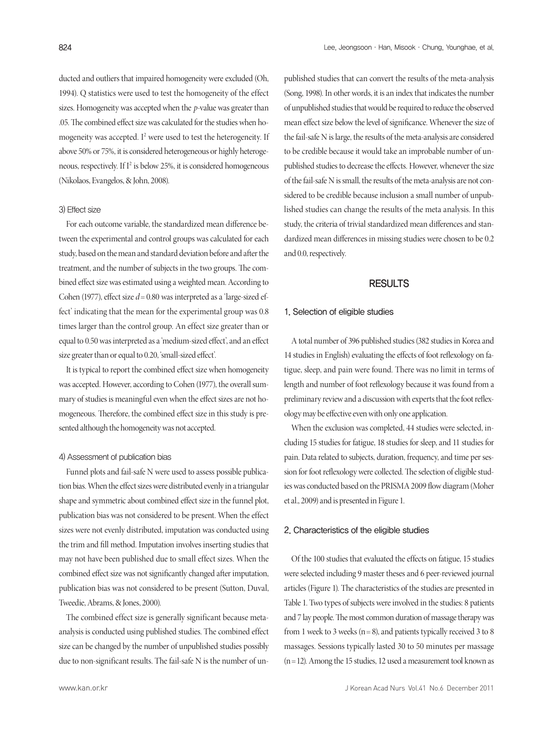ducted and outliers that impaired homogeneity were excluded (Oh, 1994). Q statistics were used to test the homogeneity of the effect sizes. Homogeneity was accepted when the *p*-value was greater than .05. The combined effect size was calculated for the studies when homogeneity was accepted. I <sup>2</sup> were used to test the heterogeneity. If above 50% or 75%, it is considered heterogeneous or highly heterogeneous, respectively. If I<sup>2</sup> is below 25%, it is considered homogeneous (Nikolaos, Evangelos, & John, 2008).

## 3) Effect size

For each outcome variable, the standardized mean difference between the experimental and control groups was calculated for each study, based on the mean and standard deviation before and after the treatment, and the number of subjects in the two groups. The combined effect size was estimated using a weighted mean. According to Cohen (1977), effect size  $d = 0.80$  was interpreted as a 'large-sized effect' indicating that the mean for the experimental group was 0.8 times larger than the control group. An effect size greater than or equal to 0.50 wasinterpreted as a 'medium-sized effect', and an effect size greater than or equal to 0.20, 'small-sized effect'.

It is typical to report the combined effect size when homogeneity was accepted. However, according to Cohen (1977), the overall summary of studies is meaningful even when the effect sizes are not homogeneous. Therefore, the combined effect size in this study is presented although the homogeneity was not accepted.

# 4) Assessment of publication bias

Funnel plots and fail-safe N were used to assess possible publication bias. When the effect sizes were distributed evenly in a triangular shape and symmetric about combined effect size in the funnel plot, publication bias was not considered to be present. When the effect sizes were not evenly distributed, imputation was conducted using the trim and fill method. Imputation involves inserting studies that may not have been published due to small effect sizes. When the combined effect size was not significantly changed after imputation, publication bias was not considered to be present (Sutton, Duval, Tweedie, Abrams, & Jones, 2000).

The combined effect size is generally significant because metaanalysis is conducted using published studies. The combined effect size can be changed by the number of unpublished studies possibly due to non-significant results. The fail-safe N is the number of unpublished studies that can convert the results of the meta-analysis (Song, 1998). In other words, it is an index that indicates the number of unpublished studies that would be required to reduce the observed mean effect size below the level of significance. Whenever the size of the fail-safe N is large, the results of the meta-analysis are considered to be credible because it would take an improbable number of unpublished studies to decrease the effects. However, whenever the size of the fail-safe N is small, the results of the meta-analysis are not considered to be credible because inclusion a small number of unpublished studies can change the results of the meta analysis. In this study, the criteria of trivial standardized mean differences and standardized mean differences in missing studies were chosen to be 0.2 and 0.0, respectively.

# RESULTS

#### 1. Selection of eligible studies

A total number of 396 published studies (382 studies in Korea and 14 studies in English) evaluating the effects of foot reflexology on fatigue, sleep, and pain were found. There was no limit in terms of length and number of foot reflexology because it was found from a preliminary review and a discussion with experts that the foot reflexology may be effective even with only one application.

When the exclusion was completed, 44 studies were selected, including 15 studies for fatigue, 18 studies for sleep, and 11 studies for pain. Data related to subjects, duration, frequency, and time per session for foot reflexology were collected. The selection of eligible studies was conducted based on the PRISMA 2009 flow diagram (Moher et al., 2009) and is presented in Figure 1.

#### 2. Characteristics of the eligible studies

Of the 100 studies that evaluated the effects on fatigue, 15 studies were selected including 9 master theses and 6 peer-reviewed journal articles (Figure 1). The characteristics of the studies are presented in Table 1. Two types of subjects were involved in the studies: 8 patients and 7 lay people. The most common duration of massage therapy was from 1 week to 3 weeks ( $n = 8$ ), and patients typically received 3 to 8 massages. Sessions typically lasted 30 to 50 minutes per massage  $(n=12)$ . Among the 15 studies, 12 used a measurement tool known as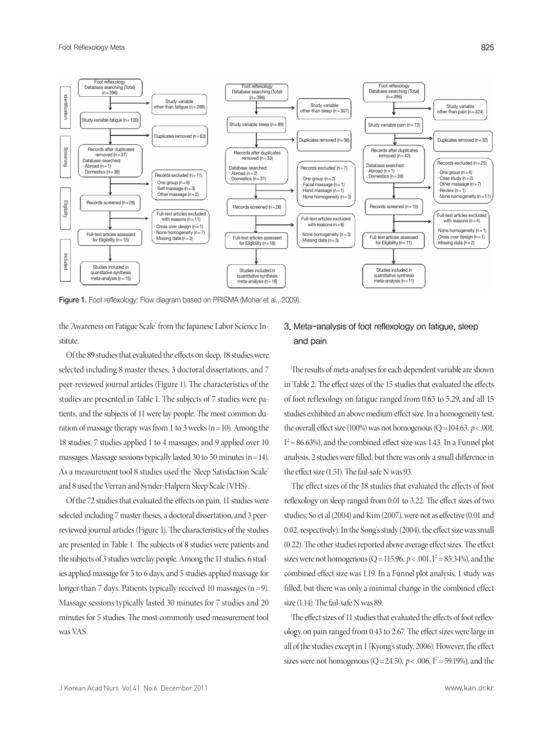

Figure 1. Foot reflexology: Flow diagram based on PRISMA (Moher et al., 2009).

the 'Awareness on Fatigue Scale' from the Japanese Labor Science Institute.

Of the 89 studies that evaluated the effects on sleep, 18 studies were selected including 8 master theses, 3 doctoral dissertations, and 7 peer-reviewed journal articles (Figure 1). The characteristics of the studies are presented in Table 1. The subjects of 7 studies were patients, and the subjects of 11 were lay people. The most common duration of massage therapy was from 1 to 3 weeks ( $n=10$ ). Among the 18 studies, 7 studies applied 1 to 4 massages, and 9 applied over 10 massages. Massage sessions typically lasted 30 to 50 minutes ( $n=14$ ). As a measurement tool 8 studies used the 'Sleep Satisfaction Scale' and 8 used the Verran and Synder-Halpern Sleep Scale (VHS).

Of the 72 studies that evaluated the effects on pain, 11 studies were selected including 7 master theses, a doctoral dissertation, and 3 peerreviewed journal articles (Figure 1). The characteristics of the studies are presented in Table 1. The subjects of 8 studies were patients and the subjects of 3 studies were lay people. Among the 11 studies, 6 studies applied massage for 5 to 6 days, and 5 studies applied massage for longer than 7 days. Patients typically received 10 massages  $(n=9)$ . Massage sessions typically lasted 30 minutes for 7 studies and 20 minutes for 5 studies. The most commonly used measurement tool wasVAS.

# 3. Meta-analysis of foot reflexology on fatigue, sleep and pain

The results of meta-analyses for each dependent variable are shown in Table 2. The effect sizes of the 15 studies that evaluated the effects of foot reflexology on fatigue ranged from 0.63 to 5.29, and all 15 studies exhibited an above medium effect size. In a homogeneity test, the overall effect size (100%) was not homogenous ( $Q = 104.63$ ,  $p < .001$ ,  $I^2$  = 86.63%), and the combined effect size was 1.43. In a Funnel plot analysis, 2 studies were filled, but there was only a small difference in the effect size  $(1.51)$ . The fail-safe N was 93.

The effect sizes of the 18 studies that evaluated the effects of foot reflexology on sleep ranged from 0.01 to 3.22. The effect sizes of two studies, So et al (2004) and Kim (2007), were not as effective (0.01 and 0.02, respectively). In the Song's study (2004), the effect size was small  $(0.22)$ . The other studies reported above average effect sizes. The effect sizes were not homogenous ( $Q = 115.96$ ,  $p < .001$ ,  $I^2 = 85.34$ %), and the combined effect size was 1.19. In a Funnel plot analysis, 1 study was filled, but there was only a minimal change in the combined effect size (1.14). The fail-safe N was 89.

The effect sizes of 11 studies that evaluated the effects of foot reflexology on pain ranged from 0.43 to 2.67. The effect sizes were large in all of the studies except in 1 (Kyong's study, 2006). However, the effect sizes were not homogenous ( $Q = 24.50$ ,  $p < .006$ ,  $I^2 = 59.19$ %), and the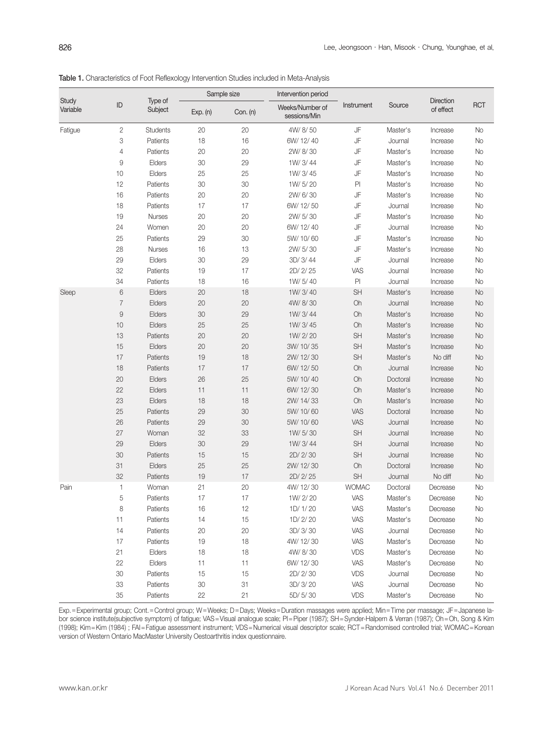| Study<br>Variable |                | Type of<br>Subject | Sample size |          | Intervention period             |               |          |                               |            |
|-------------------|----------------|--------------------|-------------|----------|---------------------------------|---------------|----------|-------------------------------|------------|
|                   | ID             |                    | Exp. (n)    | Con. (n) | Weeks/Number of<br>sessions/Min | Instrument    | Source   | <b>Direction</b><br>of effect | <b>RCT</b> |
| Fatigue           | 2              | <b>Students</b>    | 20          | 20       | 4W/8/50                         | JF            | Master's | Increase                      | No         |
|                   | 3              | Patients           | 18          | 16       | 6W/ 12/ 40                      | JF            | Journal  | Increase                      | No         |
|                   | 4              | Patients           | 20          | 20       | 2W/8/30                         | JF            | Master's | Increase                      | No         |
|                   | 9              | Elders             | 30          | 29       | 1W/3/44                         | JF            | Master's | Increase                      | No         |
|                   | 10             | Elders             | 25          | 25       | 1W/3/45                         | JF            | Master's | Increase                      | No         |
|                   | 12             | Patients           | 30          | 30       | 1W/5/20                         | P             | Master's | Increase                      | No         |
|                   | 16             | Patients           | 20          | 20       | 2W/6/30                         | JF            | Master's | Increase                      | No         |
|                   | 18             | Patients           | 17          | 17       | 6W/ 12/ 50                      | JF            | Journal  | Increase                      | No         |
|                   | 19             | Nurses             | 20          | 20       | 2W/ 5/30                        | JF            | Master's | Increase                      | No         |
|                   | 24             | Women              | 20          | 20       | 6W/ 12/ 40                      | JF            | Journal  | Increase                      | No         |
|                   | 25             | Patients           | 29          | 30       | 5W/ 10/60                       | JF            | Master's | Increase                      | No         |
|                   | 28             | <b>Nurses</b>      | 16          | 13       | 2W/ 5/30                        | JF            | Master's | Increase                      | No         |
|                   | 29             | Elders             | 30          | 29       | 3D/ 3/44                        | JF            | Journal  | Increase                      | No         |
|                   | 32             | Patients           | 19          | 17       | 2D/2/25                         | VAS           | Journal  | Increase                      | No         |
|                   | 34             | Patients           | 18          | 16       | 1W/5/40                         | $\mathsf{Pl}$ | Journal  | Increase                      | No         |
| Sleep             | $\,6$          | Elders             | 20          | 18       | 1W/3/40                         | SH            | Master's | Increase                      | <b>No</b>  |
|                   | $\overline{7}$ | Elders             | 20          | 20       | 4W/8/30                         | Oh            | Journal  | Increase                      | <b>No</b>  |
|                   | $\hbox{9}$     | Elders             | 30          | 29       | 1W/3/44                         | Oh            | Master's | Increase                      | <b>No</b>  |
|                   | 10             | Elders             | 25          | 25       | 1W/3/45                         | Oh            | Master's | Increase                      | <b>No</b>  |
|                   | 13             | Patients           | 20          | 20       | 1W/2/20                         | SH            | Master's | Increase                      | <b>No</b>  |
|                   | 15             | Elders             | 20          | 20       | 3W/ 10/35                       | SH            | Master's | Increase                      | <b>No</b>  |
|                   | 17             | Patients           | 19          | 18       | 2W/ 12/30                       | SH            | Master's | No diff                       | <b>No</b>  |
|                   | 18             | Patients           | 17          | 17       | 6W/12/50                        | Oh            | Journal  | Increase                      | <b>No</b>  |
|                   | 20             | Elders             | 26          | 25       | 5W/ 10/ 40                      | Oh            | Doctoral | Increase                      | <b>No</b>  |
|                   | 22             | Elders             | 11          | 11       | 6W/ 12/30                       | Oh            | Master's | Increase                      | <b>No</b>  |
|                   | 23             | Elders             | 18          | 18       | 2W/ 14/33                       | Oh            | Master's | Increase                      | <b>No</b>  |
|                   | 25             | Patients           | 29          | 30       | 5W/ 10/60                       | VAS           | Doctoral | Increase                      | <b>No</b>  |
|                   | 26             | Patients           | 29          | 30       | 5W/ 10/60                       | VAS           | Journal  | Increase                      | <b>No</b>  |
|                   | 27             | Woman              | 32          | 33       | 1W/5/30                         | SH            | Journal  | Increase                      | <b>No</b>  |
|                   | 29             | Elders             | 30          | 29       | 1W/3/44                         | SH            | Journal  | Increase                      | <b>No</b>  |
|                   | 30             | Patients           | 15          | 15       | 2D/2/30                         | SH            | Journal  | Increase                      | <b>No</b>  |
|                   | 31             | Elders             | 25          | 25       | 2W/ 12/30                       | Oh            | Doctoral | Increase                      | <b>No</b>  |
|                   | 32             | Patients           | 19          | 17       | 2D/2/25                         | SH            | Journal  | No diff                       | <b>No</b>  |
| Pain              | 1              | Woman              | 21          | 20       | 4W/ 12/30                       | <b>WOMAC</b>  | Doctoral | Decrease                      | No         |
|                   | 5              | Patients           | 17          | 17       | 1W/2/20                         | VAS           | Master's | Decrease                      | No         |
|                   | 8              | Patients           | 16          | 12       | 1D/ 1/ 20                       | VAS           | Master's | Decrease                      | No         |
|                   | 11             | Patients           | 14          | 15       | 1D/2/20                         | VAS           | Master's | Decrease                      | No         |
|                   | 14             | Patients           | 20          | 20       | 3D/ 3/30                        | VAS           | Journal  | Decrease                      | No         |
|                   | 17             | Patients           | 19          | 18       | 4W/ 12/30                       | VAS           | Master's | Decrease                      | No         |
|                   | 21             | Elders             | 18          | 18       | 4W/8/30                         | <b>VDS</b>    | Master's | Decrease                      | No         |
|                   | 22             | Elders             | 11          | 11       | 6W/ 12/30                       | VAS           | Master's | Decrease                      | No         |
|                   | 30             | Patients           | 15          | 15       | 2D/2/30                         | <b>VDS</b>    | Journal  |                               | No         |
|                   |                |                    |             |          | 3D/ 3/ 20                       | VAS           | Journal  | Decrease                      |            |
|                   | 33             | Patients           | 30          | 31       |                                 |               |          | Decrease                      | No         |
|                   | 35             | Patients           | 22          | 21       | 5D/5/30                         | <b>VDS</b>    | Master's | Decrease                      | No         |

Table 1. Characteristics of Foot Reflexology Intervention Studies included in Meta-Analysis

Exp.=Experimental group; Cont.=Control group; W=Weeks; D=Days; Weeks=Duration massages were applied; Min=Time per massage; JF=Japanese labor science institute(subjective symptom) of fatigue; VAS=Visual analogue scale; PI=Piper (1987); SH=Synder-Halpern & Verran (1987); Oh=Oh, Song & Kim (1998); Kim=Kim (1984) ; FAI=Fatigue assessment instrument; VDS=Numerical visual descriptor scale; RCT=Randomised controlled trial; WOMAC=Korean version of Western Ontario MacMaster University Oestoarthritis index questionnaire.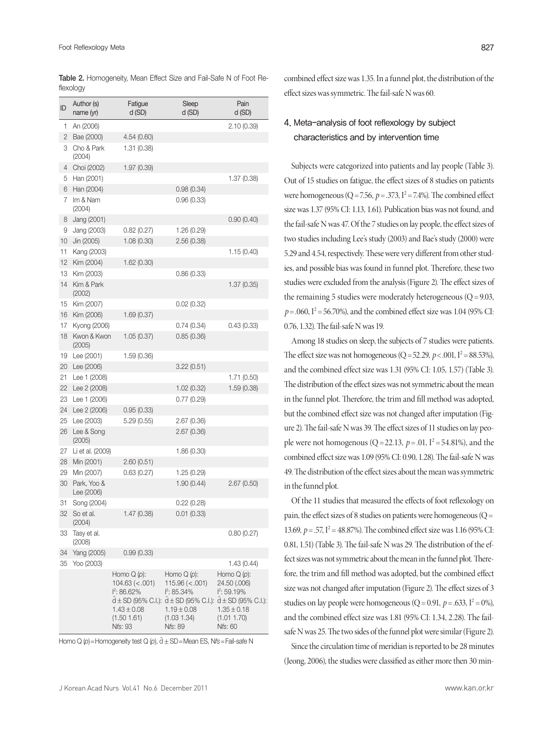| ID | Author (s)<br>name (yr)   | Fatigue<br>d(SD)                                                                     | Sleep<br>d(SD)                                                                                                                                                               | Pain<br>d(SD)                                                                     |
|----|---------------------------|--------------------------------------------------------------------------------------|------------------------------------------------------------------------------------------------------------------------------------------------------------------------------|-----------------------------------------------------------------------------------|
| 1  | An (2006)                 |                                                                                      |                                                                                                                                                                              | 2.10(0.39)                                                                        |
| 2  | Bae (2000)                | 4.54(0.60)                                                                           |                                                                                                                                                                              |                                                                                   |
| 3  | Cho & Park<br>(2004)      | 1.31(0.38)                                                                           |                                                                                                                                                                              |                                                                                   |
| 4  | Choi (2002)               | 1.97(0.39)                                                                           |                                                                                                                                                                              |                                                                                   |
| 5  | Han (2001)                |                                                                                      |                                                                                                                                                                              | 1.37 (0.38)                                                                       |
| 6  | Han (2004)                |                                                                                      | 0.98(0.34)                                                                                                                                                                   |                                                                                   |
| 7  | Im & Nam<br>(2004)        |                                                                                      | 0.96 (0.33)                                                                                                                                                                  |                                                                                   |
| 8  | Jang (2001)               |                                                                                      |                                                                                                                                                                              | 0.90(0.40)                                                                        |
| 9  | Jang (2003)               | 0.82(0.27)                                                                           | 1.26 (0.29)                                                                                                                                                                  |                                                                                   |
| 10 | Jin (2005)                | 1.08(0.30)                                                                           | 2.56 (0.38)                                                                                                                                                                  |                                                                                   |
| 11 | Kang (2003)               |                                                                                      |                                                                                                                                                                              | 1.15(0.40)                                                                        |
| 12 | Kim (2004)                | 1.62 (0.30)                                                                          |                                                                                                                                                                              |                                                                                   |
| 13 | Kim (2003)                |                                                                                      | 0.86(0.33)                                                                                                                                                                   |                                                                                   |
| 14 | Kim & Park<br>(2002)      |                                                                                      |                                                                                                                                                                              | 1.37(0.35)                                                                        |
| 15 | Kim (2007)                |                                                                                      | 0.02(0.32)                                                                                                                                                                   |                                                                                   |
| 16 | Kim (2006)                | 1.69(0.37)                                                                           |                                                                                                                                                                              |                                                                                   |
| 17 | Kyong (2006)              |                                                                                      | 0.74(0.34)                                                                                                                                                                   | 0.43(0.33)                                                                        |
| 18 | Kwon & Kwon<br>(2005)     | 1.05(0.37)                                                                           | 0.85(0.36)                                                                                                                                                                   |                                                                                   |
| 19 | Lee (2001)                | 1.59(0.36)                                                                           |                                                                                                                                                                              |                                                                                   |
| 20 | Lee (2006)                |                                                                                      | 3.22 (0.51)                                                                                                                                                                  |                                                                                   |
| 21 | Lee 1 (2008)              |                                                                                      |                                                                                                                                                                              | 1.71 (0.50)                                                                       |
| 22 | Lee 2 (2008)              |                                                                                      | 1.02(0.32)                                                                                                                                                                   | 1.59(0.38)                                                                        |
| 23 | Lee 1 (2006)              |                                                                                      | 0.77(0.29)                                                                                                                                                                   |                                                                                   |
| 24 | Lee 2 (2006)              | 0.95(0.33)                                                                           |                                                                                                                                                                              |                                                                                   |
| 25 | Lee (2003)                | 5.29 (0.55)                                                                          | 2.67 (0.36)                                                                                                                                                                  |                                                                                   |
| 26 | Lee & Song<br>(2005)      |                                                                                      | 2.67(0.36)                                                                                                                                                                   |                                                                                   |
| 27 | Li et al. (2009)          |                                                                                      | 1.86(0.30)                                                                                                                                                                   |                                                                                   |
| 28 | Min (2001)                | 2.60(0.51)                                                                           |                                                                                                                                                                              |                                                                                   |
| 29 | Min (2007)                | 0.63(0.27)                                                                           | 1.25 (0.29)                                                                                                                                                                  |                                                                                   |
| 30 | Park, Yoo &<br>Lee (2006) |                                                                                      | 1.90(0.44)                                                                                                                                                                   | 2.67(0.50)                                                                        |
| 31 | Song (2004)               |                                                                                      | 0.22(0.28)                                                                                                                                                                   |                                                                                   |
| 32 | So et al.<br>(2004)       | 1.47(0.38)                                                                           | 0.01(0.33)                                                                                                                                                                   |                                                                                   |
| 33 | Tasy et al.<br>(2008)     |                                                                                      |                                                                                                                                                                              | 0.80(0.27)                                                                        |
| 34 | Yang (2005)               | 0.99(0.33)                                                                           |                                                                                                                                                                              |                                                                                   |
| 35 | Yoo (2003)                |                                                                                      |                                                                                                                                                                              | 1.43 (0.44)                                                                       |
|    |                           | Homo $Q(p)$ :<br>104.63 (< .001)<br>$I^2$ : 86.62%<br>$1.43 \pm 0.08$<br>(1.50 1.61) | Homo $Q(p)$ :<br>$115.96 \ (< .001)$<br>$I^2$ : 85.34%<br>$\bar{d}$ ± SD (95% C.I.): $\bar{d}$ ± SD (95% C.I.): $\bar{d}$ ± SD (95% C.I.):<br>$1.19 \pm 0.08$<br>(1.03 1.34) | Homo $Q(p)$ :<br>24.50 (.006)<br>$I^2$ : 59.19%<br>$1.35 \pm 0.18$<br>(1.01 1.70) |
|    |                           | Nfs: 93                                                                              | Nfs: 89                                                                                                                                                                      | Nfs: 60                                                                           |

|           | Table 2. Homogeneity, Mean Effect Size and Fail-Safe N of Foot Re- |  |  |  |  |
|-----------|--------------------------------------------------------------------|--|--|--|--|
| flexology |                                                                    |  |  |  |  |

Homo Q (p)=Homogeneity test Q (p),  $\bar{d}$  ± SD=Mean ES, Nfs=Fail-safe N

combined effect size was 1.35. In a funnel plot, the distribution of the effect sizes was symmetric. The fail-safe N was 60.

# 4. Meta-analysis of foot reflexology by subject characteristics and by intervention time

Subjects were categorized into patients and lay people (Table 3). Out of 15 studies on fatigue, the effect sizes of 8 studies on patients were homogeneous ( $Q = 7.56$ ,  $p = .373$ ,  $I^2 = 7.4\%$ ). The combined effect size was 1.37 (95% CI: 1.13, 1.61). Publication bias was not found, and the fail-safe N was 47. Of the 7 studies on lay people, the effect sizes of two studies including Lee's study (2003) and Bae's study (2000) were 5.29 and 4.54, respectively. These were very different from other studies, and possible bias was found in funnel plot. Therefore, these two studies were excluded from the analysis (Figure 2). The effect sizes of the remaining 5 studies were moderately heterogeneous  $(Q=9.03,$  $p = 0.060$ ,  $I^2 = 56.70\%$ ), and the combined effect size was 1.04 (95% CI: 0.76, 1.32). The fail-safe N was 19.

Among 18 studies on sleep, the subjects of 7 studies were patients. The effect size was not homogeneous ( $Q = 52.29$ ,  $p < .001$ ,  $I^2 = 88.53$ %), and the combined effect size was 1.31 (95% CI: 1.05, 1.57) (Table 3). The distribution of the effect sizes was not symmetric about the mean in the funnel plot. Therefore, the trim and fill method was adopted, but the combined effect size was not changed after imputation (Figure 2). The fail-safe N was 39. The effect sizes of 11 studies on lay people were not homogenous ( $Q = 22.13$ ,  $p = .01$ ,  $I^2 = 54.81$ %), and the combined effect size was 1.09 (95% CI: 0.90, 1.28). The fail-safe N was 49. The distribution of the effect sizes about the mean was symmetric in the funnel plot.

Of the 11 studies that measured the effects of foot reflexology on pain, the effect sizes of 8 studies on patients were homogeneous ( $Q=$ 13.69,  $p = .57$ ,  $I^2 = 48.87$ %). The combined effect size was 1.16 (95% CI: 0.81, 1.51) (Table 3). The fail-safe N was 29. The distribution of the effect sizes was not symmetric about the mean in the funnel plot. Therefore, the trim and fill method was adopted, but the combined effect size was not changed after imputation (Figure 2). The effect sizes of 3 studies on lay people were homogeneous ( $Q = 0.91$ ,  $p = .633$ ,  $I^2 = 0\%$ ), and the combined effect size was 1.81 (95% CI: 1.34, 2.28). The failsafe N was 25. The two sides of the funnel plot were similar (Figure 2).

Since the circulation time of meridian is reported to be 28 minutes (Jeong, 2006), the studies were classified as either more then 30 min-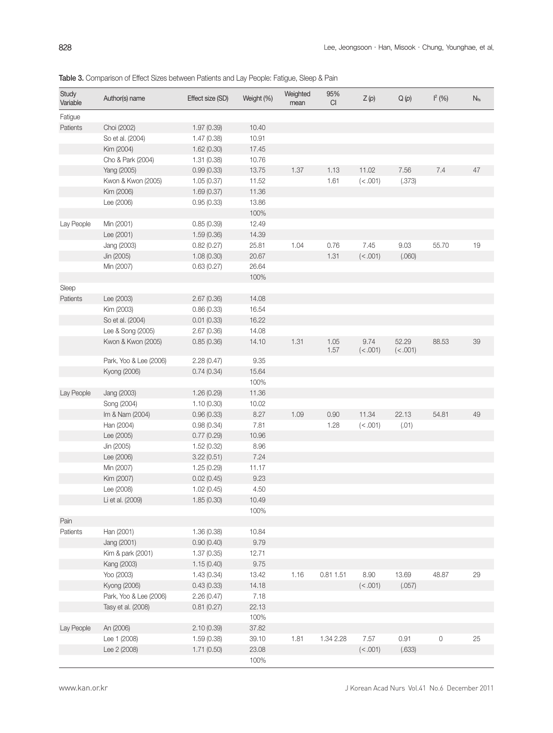| Study      | Author(s) name         | Effect size (SD) | Weight (%) | Weighted | 95%          | Z(p)             | Q(p)              | $I^2$ (%)           | $N_{fs}$ |
|------------|------------------------|------------------|------------|----------|--------------|------------------|-------------------|---------------------|----------|
| Variable   |                        |                  |            | mean     | CI           |                  |                   |                     |          |
| Fatigue    |                        |                  |            |          |              |                  |                   |                     |          |
| Patients   | Choi (2002)            | 1.97 (0.39)      | 10.40      |          |              |                  |                   |                     |          |
|            | So et al. (2004)       | 1.47(0.38)       | 10.91      |          |              |                  |                   |                     |          |
|            | Kim (2004)             | 1.62(0.30)       | 17.45      |          |              |                  |                   |                     |          |
|            | Cho & Park (2004)      | 1.31(0.38)       | 10.76      |          |              |                  |                   |                     |          |
|            | Yang (2005)            | 0.99(0.33)       | 13.75      | 1.37     | 1.13         | 11.02            | 7.56              | 7.4                 | 47       |
|            | Kwon & Kwon (2005)     | 1.05(0.37)       | 11.52      |          | 1.61         | (< .001)         | (.373)            |                     |          |
|            | Kim (2006)             | 1.69(0.37)       | 11.36      |          |              |                  |                   |                     |          |
|            | Lee (2006)             | 0.95(0.33)       | 13.86      |          |              |                  |                   |                     |          |
|            |                        |                  | 100%       |          |              |                  |                   |                     |          |
| Lay People | Min (2001)             | 0.85(0.39)       | 12.49      |          |              |                  |                   |                     |          |
|            | Lee (2001)             | 1.59(0.36)       | 14.39      |          |              |                  |                   |                     |          |
|            | Jang (2003)            | 0.82(0.27)       | 25.81      | 1.04     | 0.76         | 7.45             | 9.03              | 55.70               | 19       |
|            | Jin (2005)             | 1.08(0.30)       | 20.67      |          | 1.31         | (< .001)         | (.060)            |                     |          |
|            | Min (2007)             | 0.63(0.27)       | 26.64      |          |              |                  |                   |                     |          |
|            |                        |                  | 100%       |          |              |                  |                   |                     |          |
| Sleep      |                        |                  |            |          |              |                  |                   |                     |          |
| Patients   | Lee (2003)             | 2.67(0.36)       | 14.08      |          |              |                  |                   |                     |          |
|            | Kim (2003)             | 0.86(0.33)       | 16.54      |          |              |                  |                   |                     |          |
|            | So et al. (2004)       | 0.01(0.33)       | 16.22      |          |              |                  |                   |                     |          |
|            | Lee & Song (2005)      | 2.67(0.36)       | 14.08      |          |              |                  |                   |                     |          |
|            | Kwon & Kwon (2005)     | 0.85(0.36)       | 14.10      | 1.31     | 1.05<br>1.57 | 9.74<br>(< .001) | 52.29<br>(< .001) | 88.53               | 39       |
|            | Park, Yoo & Lee (2006) | 2.28(0.47)       | 9.35       |          |              |                  |                   |                     |          |
|            | Kyong (2006)           | 0.74(0.34)       | 15.64      |          |              |                  |                   |                     |          |
|            |                        |                  | 100%       |          |              |                  |                   |                     |          |
| Lay People | Jang (2003)            | 1.26(0.29)       | 11.36      |          |              |                  |                   |                     |          |
|            | Song (2004)            | 1.10(0.30)       | 10.02      |          |              |                  |                   |                     |          |
|            | Im & Nam (2004)        | 0.96(0.33)       | 8.27       | 1.09     | 0.90         | 11.34            | 22.13             | 54.81               | 49       |
|            | Han (2004)             | 0.98(0.34)       | 7.81       |          | 1.28         | (< .001)         | (.01)             |                     |          |
|            | Lee (2005)             | 0.77(0.29)       | 10.96      |          |              |                  |                   |                     |          |
|            | Jin (2005)             | 1.52(0.32)       | 8.96       |          |              |                  |                   |                     |          |
|            | Lee (2006)             | 3.22(0.51)       | 7.24       |          |              |                  |                   |                     |          |
|            | Min (2007)             | 1.25(0.29)       | 11.17      |          |              |                  |                   |                     |          |
|            | Kim (2007)             | 0.02(0.45)       | 9.23       |          |              |                  |                   |                     |          |
|            | Lee (2008)             | 1.02(0.45)       | 4.50       |          |              |                  |                   |                     |          |
|            | Li et al. (2009)       | 1.85(0.30)       | 10.49      |          |              |                  |                   |                     |          |
|            |                        |                  | 100%       |          |              |                  |                   |                     |          |
| Pain       |                        |                  |            |          |              |                  |                   |                     |          |
| Patients   | Han (2001)             | 1.36(0.38)       | 10.84      |          |              |                  |                   |                     |          |
|            | Jang (2001)            | 0.90(0.40)       | 9.79       |          |              |                  |                   |                     |          |
|            | Kim & park (2001)      | 1.37(0.35)       | 12.71      |          |              |                  |                   |                     |          |
|            | Kang (2003)            | 1.15(0.40)       | 9.75       |          |              |                  |                   |                     |          |
|            | Yoo (2003)             | 1.43(0.34)       | 13.42      | 1.16     | 0.81 1.51    | 8.90             | 13.69             | 48.87               | 29       |
|            | Kyong (2006)           | 0.43(0.33)       | 14.18      |          |              | (<.001)          | (.057)            |                     |          |
|            | Park, Yoo & Lee (2006) | 2.26(0.47)       | 7.18       |          |              |                  |                   |                     |          |
|            | Tasy et al. (2008)     | 0.81(0.27)       | 22.13      |          |              |                  |                   |                     |          |
|            |                        |                  | 100%       |          |              |                  |                   |                     |          |
| Lay People | An (2006)              | 2.10(0.39)       | 37.82      |          |              |                  |                   |                     |          |
|            | Lee 1 (2008)           | 1.59(0.38)       | 39.10      | 1.81     | 1.34 2.28    | 7.57             | 0.91              | $\mathsf{O}\xspace$ | 25       |
|            | Lee 2 (2008)           | 1.71(0.50)       | 23.08      |          |              | (< .001)         | (.633)            |                     |          |
|            |                        |                  | 100%       |          |              |                  |                   |                     |          |
|            |                        |                  |            |          |              |                  |                   |                     |          |

Table 3. Comparison of Effect Sizes between Patients and Lay People: Fatigue, Sleep & Pain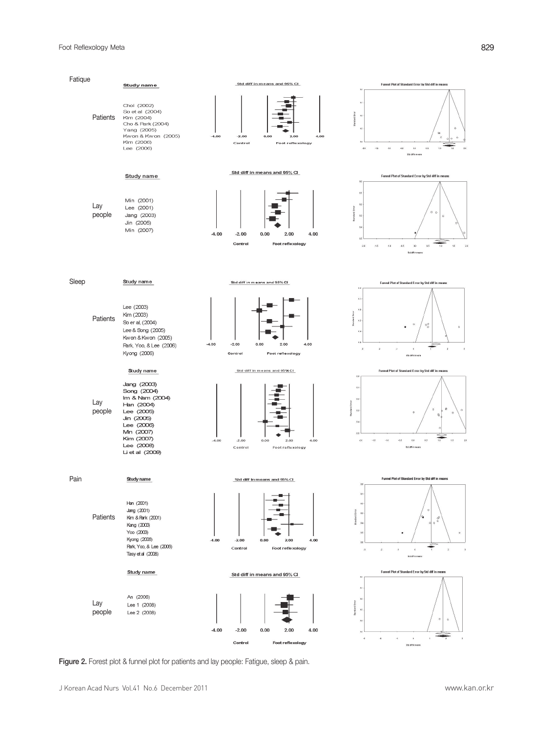

Figure 2. Forest plot & funnel plot for patients and lay people: Fatigue, sleep & pain.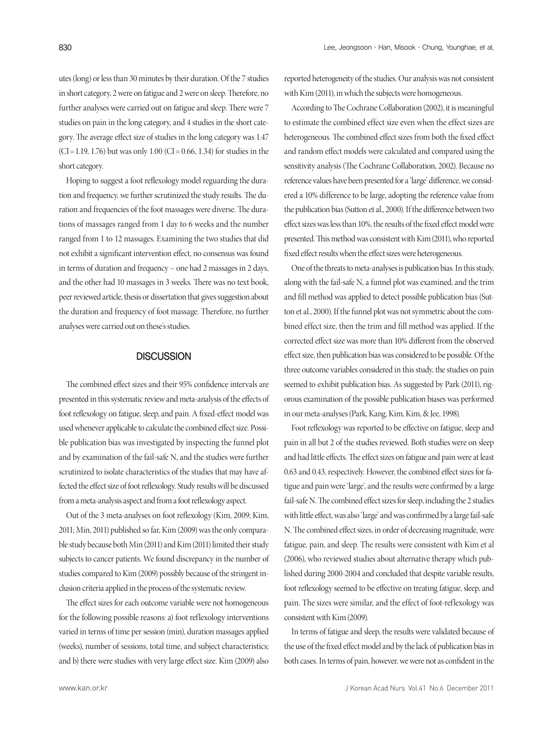utes (long) or less than 30 minutes by their duration. Of the 7 studies in short category, 2 were on fatigue and 2 were on sleep. Therefore, no further analyses were carried out on fatigue and sleep. There were 7 studies on pain in the long category, and 4 studies in the short category. The average effect size of studies in the long category was 1.47  $(CI = 1.19, 1.76)$  but was only 1.00  $(CI = 0.66, 1.34)$  for studies in the short category.

Hoping to suggest a foot reflexology model reguarding the duration and frequency, we further scrutinized the study results. The duration and frequencies of the foot massages were diverse. The durations of massages ranged from 1 day to 6 weeks and the number ranged from 1 to 12 massages. Examining the two studies that did not exhibit a significant intervention effect, no consensus was found in terms of duration and frequency – one had 2 massages in 2 days, and the other had 10 massages in 3 weeks. There was no text book, peer reviewed article, thesis or dissertation that gives suggestion about the duration and frequency of foot massage. Therefore, no further analyses were carried out on these's studies.

# **DISCUSSION**

The combined effect sizes and their 95% confidence intervals are presented in this systematic review and meta-analysis of the effects of foot reflexology on fatigue, sleep, and pain. A fixed-effect model was used whenever applicable to calculate the combined effect size. Possible publication bias was investigated by inspecting the funnel plot and by examination of the fail-safe N, and the studies were further scrutinized to isolate characteristics of the studies that may have affected the effect size of foot reflexology. Study results will be discussed from a meta-analysis aspect and from a foot reflexology aspect.

Out of the 3 meta-analyses on foot reflexology (Kim, 2009; Kim, 2011; Min, 2011) published so far, Kim (2009) wasthe only comparable study because both Min (2011) and Kim (2011) limited their study subjects to cancer patients. We found discrepancy in the number of studies compared to Kim (2009) possibly because of the stringent inclusion criteria applied in the process of the systematic review.

The effect sizes for each outcome variable were not homogeneous for the following possible reasons: a) foot reflexology interventions varied in terms of time per session (min), duration massages applied (weeks), number of sessions, total time, and subject characteristics; and b) there were studies with very large effect size. Kim (2009) also

reported heterogeneity of the studies. Our analysis was not consistent with Kim (2011), in which the subjects were homogeneous.

According to The Cochrane Collaboration (2002), it is meaningful to estimate the combined effect size even when the effect sizes are heterogeneous. The combined effect sizes from both the fixed effect and random effect models were calculated and compared using the sensitivity analysis (The Cochrane Collaboration, 2002). Because no reference values have been presented for a 'large' difference, we considered a 10% difference to be large, adopting the reference value from the publication bias(Sutton et al., 2000). If the difference between two effect sizes was less than 10%, the results of the fixed effect model were presented. This method was consistent with Kim (2011), who reported fixed effect results when the effect sizes were heterogeneous.

One of the threats to meta-analyses is publication bias. In this study, along with the fail-safe N, a funnel plot was examined, and the trim and fill method was applied to detect possible publication bias (Sutton et al., 2000). If the funnel plot was not symmetric about the combined effect size, then the trim and fill method was applied. If the corrected effect size was more than 10% different from the observed effect size, then publication bias was considered to be possible. Of the three outcome variables considered in this study, the studies on pain seemed to exhibit publication bias. As suggested by Park (2011), rigorous examination of the possible publication biases was performed in our meta-analyses (Park, Kang, Kim, Kim, & Jee, 1998).

Foot reflexology was reported to be effective on fatigue, sleep and pain in all but 2 of the studies reviewed. Both studies were on sleep and had little effects. The effect sizes on fatigue and pain were at least 0.63 and 0.43, respectively. However, the combined effect sizes for fatigue and pain were 'large', and the results were confirmed by a large fail-safe N. The combined effect sizes for sleep, including the 2 studies with little effect, was also 'large' and was confirmed by a large fail-safe N. The combined effect sizes, in order of decreasing magnitude, were fatigue, pain, and sleep. The results were consistent with Kim et al (2006), who reviewed studies about alternative therapy which published during 2000-2004 and concluded that despite variable results, foot reflexology seemed to be effective on treating fatigue, sleep, and pain. The sizes were similar, and the effect of foot-reflexology was consistent with Kim (2009).

In terms of fatigue and sleep, the results were validated because of the use of the fixed effect model and by the lack of publication bias in both cases. In terms of pain, however, we were not as confident in the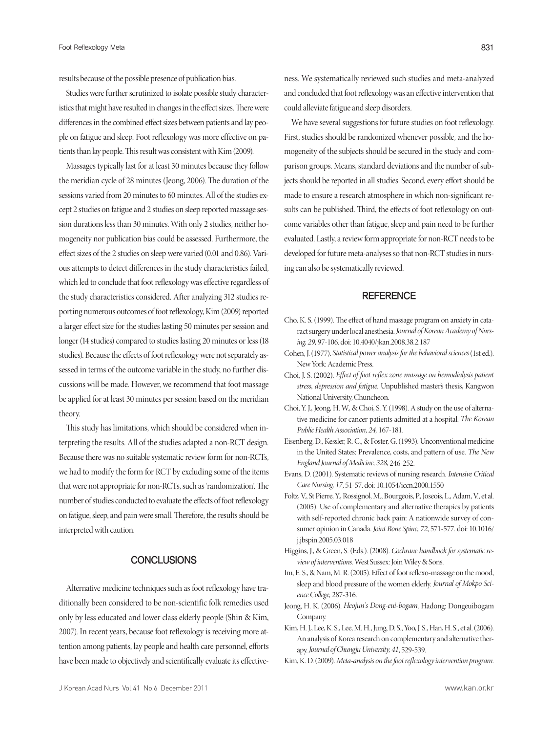results because of the possible presence of publication bias.

Studies were further scrutinized to isolate possible study characteristics that might have resulted in changes in the effect sizes. There were differences in the combined effect sizes between patients and lay people on fatigue and sleep. Foot reflexology was more effective on patients than lay people. This result was consistent with Kim (2009).

Massages typically last for at least 30 minutes because they follow the meridian cycle of 28 minutes (Jeong, 2006). The duration of the sessions varied from 20 minutes to 60 minutes. All of the studies except 2 studies on fatigue and 2 studies on sleep reported massage session durations less than 30 minutes. With only 2 studies, neither homogeneity nor publication biascould be assessed. Furthermore, the effect sizes of the 2 studies on sleep were varied (0.01 and 0.86). Various attempts to detect differences in the study characteristics failed, which led to conclude that foot reflexology was effective regardless of the study characteristics considered. After analyzing 312 studies reporting numerous outcomes of foot reflexology, Kim (2009) reported a larger effect size for the studies lasting 50 minutes per session and longer (14 studies) compared to studies lasting 20 minutes or less (18 studies). Because the effects of foot reflexology were not separately assessed in terms of the outcome variable in the study, no further discussions will be made. However, we recommend that foot massage be applied for at least 30 minutes per session based on the meridian theory.

This study has limitations, which should be considered when interpreting the results. All of the studies adapted a non-RCT design. Because there was no suitable systematic review form for non-RCTs, we had to modify the form for RCT by excluding some of the items that were not appropriate for non-RCTs, such as 'randomization'. The number of studies conducted to evaluate the effects of foot reflexology on fatigue, sleep, and pain were small. Therefore, the results should be interpreted with caution.

# CONCLUSIONS

Alternative medicine techniques such as foot reflexology have traditionally been considered to be non-scientific folk remedies used only by less educated and lower class elderly people (Shin & Kim, 2007). In recent years, because foot reflexology is receiving more attention among patients, lay people and health care personnel, efforts have been made to objectively and scientifically evaluate its effectiveness. We systematically reviewed such studies and meta-analyzed and concluded that foot reflexology was an effective intervention that could alleviate fatigue and sleep disorders.

We have several suggestions for future studies on foot reflexology. First, studies should be randomized whenever possible, and the homogeneity of the subjects should be secured in the study and comparison groups. Means, standard deviations and the number of subjects should be reported in all studies. Second, every effort should be made to ensure a research atmosphere in which non-significant results can be published. Third, the effects of foot reflexology on outcome variables other than fatigue, sleep and pain need to be further evaluated. Lastly, a review form appropriate for non-RCT needs to be developed for future meta-analyses so that non-RCT studies in nursing can also be systematically reviewed.

# **REFERENCE**

- Cho, K. S. (1999). The effect of hand massage program on anxiety in cataract surgery under local anesthesia. *Journal of Korean Academy of Nursing, 29,* 97-106. doi: 10.4040/jkan.2008.38.2.187
- Cohen, J. (1977). *Statistical power analysis for the behavioral sciences* (1st ed.). New York: Academic Press.
- Choi, J. S. (2002). *Effect of foot reflex zone massage on hemodialysis patient stress, depression and fatigue.* Unpublished master's thesis, Kangwon National University, Chuncheon.
- Choi, Y. J., Jeong, H. W., & Choi, S. Y. (1998). A study on the use of alternative medicine for cancer patients admitted at a hospital. *The Korean PublicHealthAssociation, 24,* 167-181.
- Eisenberg, D., Kessler, R. C., & Foster, G. (1993). Unconventional medicine in the United States: Prevalence, costs, and pattern of use. *The New* England Journal of Medicine, 328, 246-252.
- Evans, D. (2001). Systematic reviews of nursing research. *Intensive Critical CareNursing, 17*, 51-57. doi: 10.1054/iccn.2000.1550
- Foltz, V., St Pierre, Y., Rossignol, M., Bourgeois, P., Joseois, L., Adam, V., et al. (2005). Use of complementary and alternative therapies by patients with self-reported chronic back pain: A nationwide survey of consumer opinion in Canada. *Joint Bone Spine, 72*, 571-577. doi: 10.1016/ j.jbspin.2005.03.018
- Higgins, J., & Green, S. (Eds.). (2008). *Cochrane handbook for systematic reviewof interventions.* West Sussex: Join Wiley & Sons.
- Im, E. S., & Nam, M. R. (2005). Effect of foot reflexo-massage on the mood, sleep and blood pressure of the women elderly. *Journal of Mokpo ScienceCollege,* 287-316.
- Jeong, H. K. (2006). *Heojun's Dong-eui-bogam*. Hadong: Dongeuibogam Company.
- Kim, H. J., Lee, K. S., Lee, M. H., Jung, D. S., Yoo, J. S., Han, H. S., et al. (2006). An analysis of Korea research on complementary and alternative therapy. *Journal ofChungjuUniversity, 41*, 529-539.

Kim, K. D. (2009). *Meta-analysis on the foot reflexology intervention program*.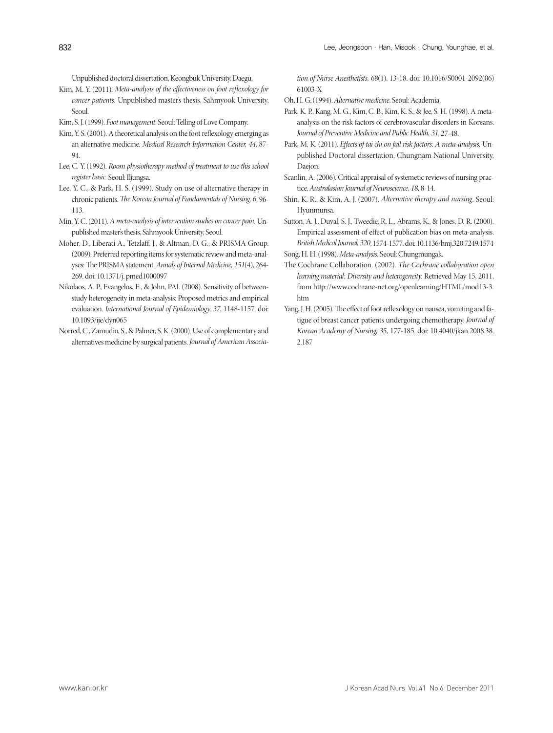Unpublished doctoral dissertation, Keongbuk University, Daegu.

- Kim, M. Y. (2011). *Meta-analysis of the effectiveness on foot reflexology for cancer patients.* Unpublished master's thesis, Sahmyook University, Seoul.
- Kim, S. J. (1999). *Foot management*, Seoul: Telling of Love Company.
- Kim, Y. S. (2001). A theoretical analysis on the foot reflexology emerging as an alternative medicine. *Medical Research Information Center, 44*, 87- 94.
- Lee, C. Y. (1992). *Room physiotherapy method of treatment to use this school register basic.* Seoul: Iljungsa.
- Lee, Y. C., & Park, H. S. (1999). Study on use of alternative therapy in chronic patients. *The Korean Journal of Fundamentals of Nursing, 6, 96-*113.
- Min, Y. C. (2011). *A meta-analysis of intervention studies on cancer pain.* Unpublished master's thesis, Sahmyook University, Seoul.
- Moher, D., Liberati A., Tetzlaff, J., & Altman, D. G., & PRISMA Group. (2009). Preferred reporting items for systematic review and meta-analyses: The PRISMA statement. Annals of Internal Medicine, 151(4), 264-269. doi: 10.1371/j. pmed1000097
- Nikolaos, A. P., Evangelos, E., & John, PAI. (2008). Sensitivity of betweenstudy heterogeneity in meta-analysis: Proposed metrics and empirical evaluation. *International Journal of Epidemiology, 37*, 1148-1157. doi: 10.1093/ije/dyn065
- Norred, C., Zamudio, S., & Palmer, S. K. (2000). Use of complementary and alternatives medicine by surgical patients. *Journal of American Associa-*

*tion of Nurse Anesthetists, 68*(1), 13-18. doi: 10.1016/S0001-2092(06) 61003-X

- Oh, H. G. (1994). *Alternativemedicine*. Seoul: Academia.
- Park, K. P., Kang, M. G., Kim, C. B., Kim, K. S., & Jee, S. H. (1998). A metaanalysis on the risk factors of cerebrovascular disorders in Koreans. *Journal of PreventiveMedicine and PublicHealth, 31*, 27-48.
- Park, M. K. (2011). *Effects of tai chi on fall risk factors: A meta-analysis.* Unpublished Doctoral dissertation, Chungnam National University, Daejon.
- Scanlin, A. (2006). Critical appraisal of systemetic reviews of nursing practice. *Australasian Journal ofNeuroscience, 18,* 8-14.
- Shin, K. R., & Kim, A. J. (2007). *Alternative therapy and nursing*. Seoul: Hyunmunsa.
- Sutton, A. J., Duval, S. J., Tweedie, R. L., Abrams, K., & Jones, D. R. (2000). Empirical assessment of effect of publication bias on meta-analysis. *BritishMedicalJournal,320*, 1574-1577. doi: 10.1136/bmj.320.7249.1574
- Song, H. H. (1998). *Meta-analysis*. Seoul: Chungmungak.
- The Cochrane Collaboration. (2002). *The Cochrane collaboration open learning material: Diversity and heterogeneity.* Retrieved May 15, 2011, from http://www.cochrane-net.org/openlearning/HTML/mod13-3. htm
- Yang, J. H. (2005). The effect of foot reflexology on nausea, vomiting and fatigue of breast cancer patients undergoing chemotherapy. *Journal of Korean Academy of Nursing, 35,* 177-185. doi: 10.4040/jkan.2008.38. 2.187